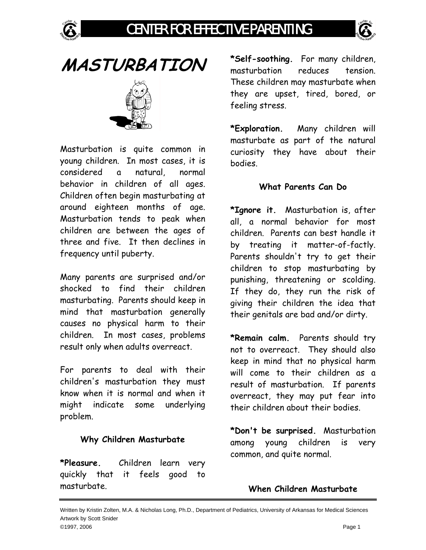

# **MASTURBATION**



Masturbation is quite common in young children. In most cases, it is considered a natural, normal behavior in children of all ages. Children often begin masturbating at around eighteen months of age. Masturbation tends to peak when children are between the ages of three and five. It then declines in frequency until puberty.

Many parents are surprised and/or shocked to find their children masturbating. Parents should keep in mind that masturbation generally causes no physical harm to their children. In most cases, problems result only when adults overreact.

For parents to deal with their children's masturbation they must know when it is normal and when it might indicate some underlying problem.

## **Why Children Masturbate**

**\*Pleasure.** Children learn very quickly that it feels good to masturbate.

**\*Self-soothing.** For many children, masturbation reduces tension. These children may masturbate when they are upset, tired, bored, or feeling stress.

**\*Exploration.** Many children will masturbate as part of the natural curiosity they have about their bodies.

### **What Parents Can Do**

**\*Ignore it.** Masturbation is, after all, a normal behavior for most children. Parents can best handle it by treating it matter-of-factly. Parents shouldn't try to get their children to stop masturbating by punishing, threatening or scolding. If they do, they run the risk of giving their children the idea that their genitals are bad and/or dirty.

**\*Remain calm.** Parents should try not to overreact. They should also keep in mind that no physical harm will come to their children as a result of masturbation. If parents overreact, they may put fear into their children about their bodies.

**\*Don't be surprised.** Masturbation among young children is very common, and quite normal.

### **When Children Masturbate**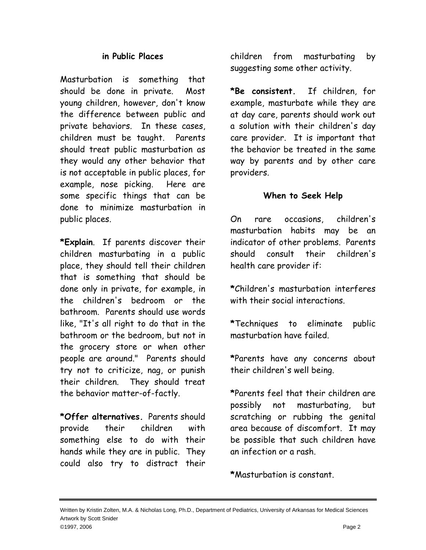### **in Public Places**

Masturbation is something that should be done in private. Most young children, however, don't know the difference between public and private behaviors. In these cases, children must be taught. Parents should treat public masturbation as they would any other behavior that is not acceptable in public places, for example, nose picking. Here are some specific things that can be done to minimize masturbation in public places.

**\*Explain**. If parents discover their children masturbating in a public place, they should tell their children that is something that should be done only in private, for example, in the children's bedroom or the bathroom. Parents should use words like, "It's all right to do that in the bathroom or the bedroom, but not in the grocery store or when other people are around." Parents should try not to criticize, nag, or punish their children. They should treat the behavior matter-of-factly.

**\*Offer alternatives.** Parents should provide their children with something else to do with their hands while they are in public. They could also try to distract their

children from masturbating by suggesting some other activity.

**\*Be consistent.** If children, for example, masturbate while they are at day care, parents should work out a solution with their children's day care provider. It is important that the behavior be treated in the same way by parents and by other care providers.

### **When to Seek Help**

On rare occasions, children's masturbation habits may be an indicator of other problems. Parents should consult their children's health care provider if:

**\***Children's masturbation interferes with their social interactions.

**\***Techniques to eliminate public masturbation have failed.

**\***Parents have any concerns about their children's well being.

**\***Parents feel that their children are possibly not masturbating, but scratching or rubbing the genital area because of discomfort. It may be possible that such children have an infection or a rash.

**\***Masturbation is constant.